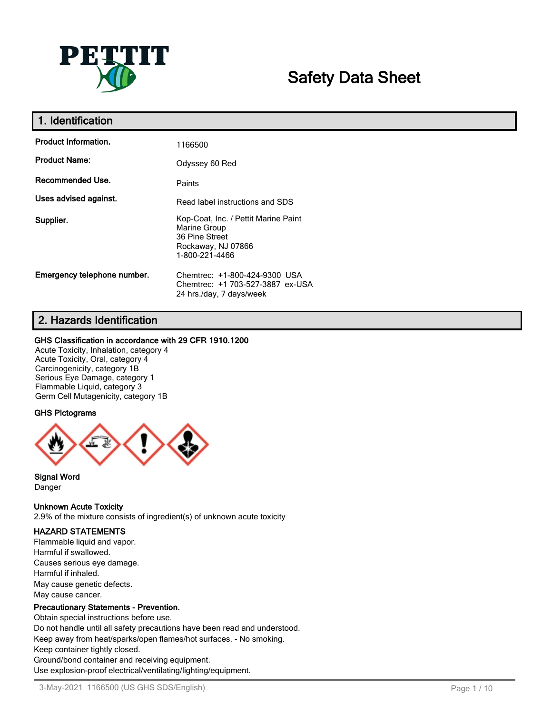

# **Safety Data Sheet**

| 1. Identification           |                                                                                                                |
|-----------------------------|----------------------------------------------------------------------------------------------------------------|
| <b>Product Information.</b> | 1166500                                                                                                        |
| <b>Product Name:</b>        | Odyssey 60 Red                                                                                                 |
| <b>Recommended Use.</b>     | Paints                                                                                                         |
| Uses advised against.       | Read label instructions and SDS                                                                                |
| Supplier.                   | Kop-Coat, Inc. / Pettit Marine Paint<br>Marine Group<br>36 Pine Street<br>Rockaway, NJ 07866<br>1-800-221-4466 |
| Emergency telephone number. | Chemtrec: +1-800-424-9300 USA<br>Chemtrec: +1 703-527-3887 ex-USA<br>24 hrs./day, 7 days/week                  |

### **2. Hazards Identification**

#### **GHS Classification in accordance with 29 CFR 1910.1200**

Acute Toxicity, Inhalation, category 4 Acute Toxicity, Oral, category 4 Carcinogenicity, category 1B Serious Eye Damage, category 1 Flammable Liquid, category 3 Germ Cell Mutagenicity, category 1B

#### **GHS Pictograms**



**Signal Word** Danger

#### **Unknown Acute Toxicity**

2.9% of the mixture consists of ingredient(s) of unknown acute toxicity

#### **HAZARD STATEMENTS**

Flammable liquid and vapor. Harmful if swallowed. Causes serious eye damage. Harmful if inhaled. May cause genetic defects. May cause cancer.

#### **Precautionary Statements - Prevention.**

Obtain special instructions before use. Do not handle until all safety precautions have been read and understood. Keep away from heat/sparks/open flames/hot surfaces. - No smoking. Keep container tightly closed. Ground/bond container and receiving equipment. Use explosion-proof electrical/ventilating/lighting/equipment.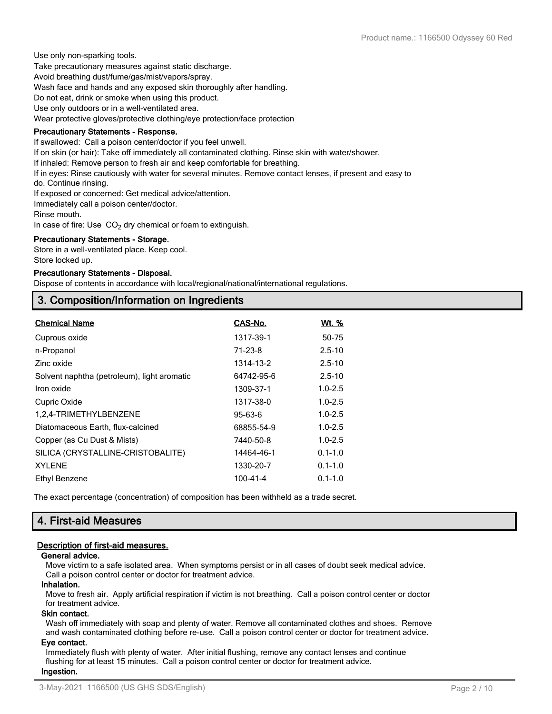Use only non-sparking tools. Take precautionary measures against static discharge. Avoid breathing dust/fume/gas/mist/vapors/spray. Wash face and hands and any exposed skin thoroughly after handling. Do not eat, drink or smoke when using this product. Use only outdoors or in a well-ventilated area. Wear protective gloves/protective clothing/eye protection/face protection

#### **Precautionary Statements - Response.**

If swallowed: Call a poison center/doctor if you feel unwell.

If on skin (or hair): Take off immediately all contaminated clothing. Rinse skin with water/shower.

If inhaled: Remove person to fresh air and keep comfortable for breathing.

If in eyes: Rinse cautiously with water for several minutes. Remove contact lenses, if present and easy to

do. Continue rinsing.

If exposed or concerned: Get medical advice/attention.

Immediately call a poison center/doctor.

Rinse mouth.

In case of fire: Use  $CO<sub>2</sub>$  dry chemical or foam to extinguish.

#### **Precautionary Statements - Storage.**

Store in a well-ventilated place. Keep cool. Store locked up.

#### **Precautionary Statements - Disposal.**

Dispose of contents in accordance with local/regional/national/international regulations.

### **3. Composition/Information on Ingredients**

| <b>Chemical Name</b>                        | CAS-No.       | <u>Wt. %</u> |
|---------------------------------------------|---------------|--------------|
| Cuprous oxide                               | 1317-39-1     | 50-75        |
| n-Propanol                                  | $71 - 23 - 8$ | $2.5 - 10$   |
| Zinc oxide                                  | 1314-13-2     | $2.5 - 10$   |
| Solvent naphtha (petroleum), light aromatic | 64742-95-6    | $2.5 - 10$   |
| Iron oxide                                  | 1309-37-1     | $1.0 - 2.5$  |
| Cupric Oxide                                | 1317-38-0     | $1.0 - 2.5$  |
| 1,2,4-TRIMETHYLBENZENE                      | 95-63-6       | $1.0 - 2.5$  |
| Diatomaceous Earth, flux-calcined           | 68855-54-9    | $1.0 - 2.5$  |
| Copper (as Cu Dust & Mists)                 | 7440-50-8     | $1.0 - 2.5$  |
| SILICA (CRYSTALLINE-CRISTOBALITE)           | 14464-46-1    | $0.1 - 1.0$  |
| <b>XYLENE</b>                               | 1330-20-7     | $0.1 - 1.0$  |
| Ethyl Benzene                               | 100-41-4      | $0.1 - 1.0$  |

The exact percentage (concentration) of composition has been withheld as a trade secret.

### **4. First-aid Measures**

#### **Description of first-aid measures.**

#### **General advice.**

Move victim to a safe isolated area. When symptoms persist or in all cases of doubt seek medical advice. Call a poison control center or doctor for treatment advice.

#### **Inhalation.**

Move to fresh air. Apply artificial respiration if victim is not breathing. Call a poison control center or doctor for treatment advice.

#### **Skin contact.**

Wash off immediately with soap and plenty of water. Remove all contaminated clothes and shoes. Remove and wash contaminated clothing before re-use. Call a poison control center or doctor for treatment advice.

#### **Eye contact.**

Immediately flush with plenty of water. After initial flushing, remove any contact lenses and continue flushing for at least 15 minutes. Call a poison control center or doctor for treatment advice. **Ingestion.**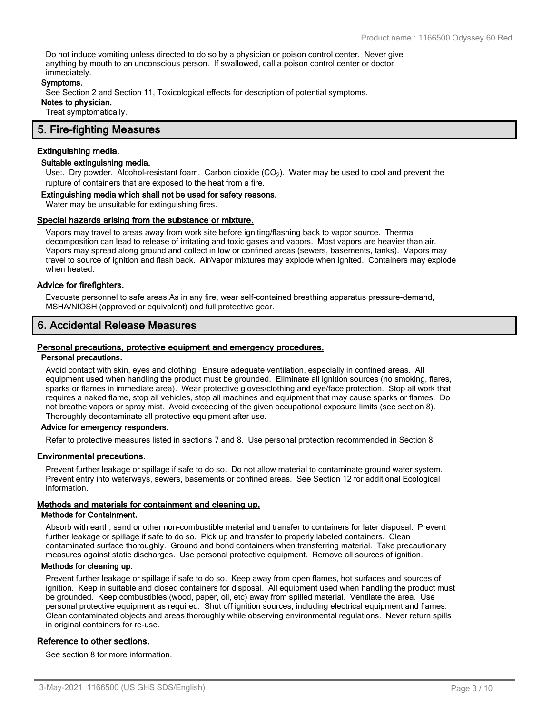Do not induce vomiting unless directed to do so by a physician or poison control center. Never give anything by mouth to an unconscious person. If swallowed, call a poison control center or doctor immediately.

#### **Symptoms.**

See Section 2 and Section 11, Toxicological effects for description of potential symptoms. **Notes to physician.**

Treat symptomatically.

#### **5. Fire-fighting Measures**

#### **Extinguishing media.**

#### **Suitable extinguishing media.**

Use:. Dry powder. Alcohol-resistant foam. Carbon dioxide (CO<sub>2</sub>). Water may be used to cool and prevent the rupture of containers that are exposed to the heat from a fire.

#### **Extinguishing media which shall not be used for safety reasons.**

Water may be unsuitable for extinguishing fires.

#### **Special hazards arising from the substance or mixture.**

Vapors may travel to areas away from work site before igniting/flashing back to vapor source. Thermal decomposition can lead to release of irritating and toxic gases and vapors. Most vapors are heavier than air. Vapors may spread along ground and collect in low or confined areas (sewers, basements, tanks). Vapors may travel to source of ignition and flash back. Air/vapor mixtures may explode when ignited. Containers may explode when heated.

#### **Advice for firefighters.**

Evacuate personnel to safe areas.As in any fire, wear self-contained breathing apparatus pressure-demand, MSHA/NIOSH (approved or equivalent) and full protective gear.

### **6. Accidental Release Measures**

#### **Personal precautions, protective equipment and emergency procedures.**

#### **Personal precautions.**

Avoid contact with skin, eyes and clothing. Ensure adequate ventilation, especially in confined areas. All equipment used when handling the product must be grounded. Eliminate all ignition sources (no smoking, flares, sparks or flames in immediate area). Wear protective gloves/clothing and eye/face protection. Stop all work that requires a naked flame, stop all vehicles, stop all machines and equipment that may cause sparks or flames. Do not breathe vapors or spray mist. Avoid exceeding of the given occupational exposure limits (see section 8). Thoroughly decontaminate all protective equipment after use.

#### **Advice for emergency responders.**

Refer to protective measures listed in sections 7 and 8. Use personal protection recommended in Section 8.

#### **Environmental precautions.**

Prevent further leakage or spillage if safe to do so. Do not allow material to contaminate ground water system. Prevent entry into waterways, sewers, basements or confined areas. See Section 12 for additional Ecological information.

#### **Methods and materials for containment and cleaning up.**

#### **Methods for Containment.**

Absorb with earth, sand or other non-combustible material and transfer to containers for later disposal. Prevent further leakage or spillage if safe to do so. Pick up and transfer to properly labeled containers. Clean contaminated surface thoroughly. Ground and bond containers when transferring material. Take precautionary measures against static discharges. Use personal protective equipment. Remove all sources of ignition.

#### **Methods for cleaning up.**

Prevent further leakage or spillage if safe to do so. Keep away from open flames, hot surfaces and sources of ignition. Keep in suitable and closed containers for disposal. All equipment used when handling the product must be grounded. Keep combustibles (wood, paper, oil, etc) away from spilled material. Ventilate the area. Use personal protective equipment as required. Shut off ignition sources; including electrical equipment and flames. Clean contaminated objects and areas thoroughly while observing environmental regulations. Never return spills in original containers for re-use.

#### **Reference to other sections.**

See section 8 for more information.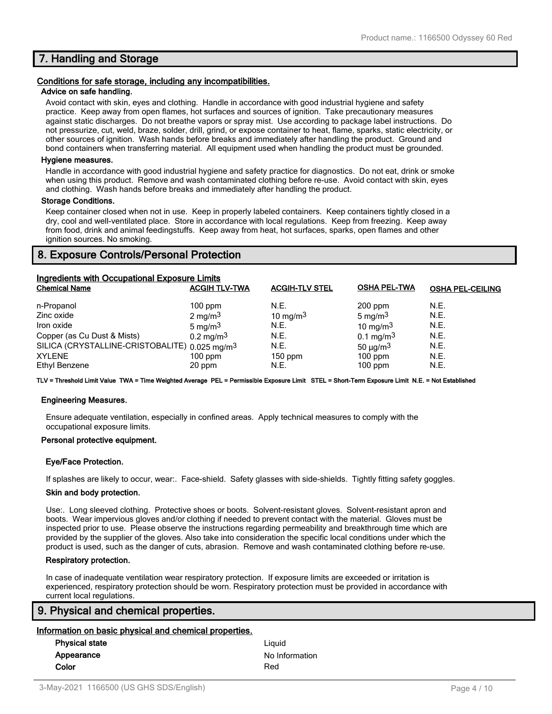### **7. Handling and Storage**

#### **Conditions for safe storage, including any incompatibilities.**

#### **Advice on safe handling.**

Avoid contact with skin, eyes and clothing. Handle in accordance with good industrial hygiene and safety practice. Keep away from open flames, hot surfaces and sources of ignition. Take precautionary measures against static discharges. Do not breathe vapors or spray mist. Use according to package label instructions. Do not pressurize, cut, weld, braze, solder, drill, grind, or expose container to heat, flame, sparks, static electricity, or other sources of ignition. Wash hands before breaks and immediately after handling the product. Ground and bond containers when transferring material. All equipment used when handling the product must be grounded.

#### **Hygiene measures.**

Handle in accordance with good industrial hygiene and safety practice for diagnostics. Do not eat, drink or smoke when using this product. Remove and wash contaminated clothing before re-use. Avoid contact with skin, eyes and clothing. Wash hands before breaks and immediately after handling the product.

#### **Storage Conditions.**

Keep container closed when not in use. Keep in properly labeled containers. Keep containers tightly closed in a dry, cool and well-ventilated place. Store in accordance with local regulations. Keep from freezing. Keep away from food, drink and animal feedingstuffs. Keep away from heat, hot surfaces, sparks, open flames and other ignition sources. No smoking.

### **8. Exposure Controls/Personal Protection**

| Ingredients with Occupational Exposure Limits             |                         |                       |                           |                         |  |
|-----------------------------------------------------------|-------------------------|-----------------------|---------------------------|-------------------------|--|
| <b>Chemical Name</b>                                      | <b>ACGIH TLV-TWA</b>    | <b>ACGIH-TLV STEL</b> | <b>OSHA PEL-TWA</b>       | <b>OSHA PEL-CEILING</b> |  |
| n-Propanol                                                | $100$ ppm               | N.E.                  | $200$ ppm                 | N.E.                    |  |
| Zinc oxide                                                | $2 \text{ mg/m}^3$      | 10 mg/m $3$           | 5 mg/m $3$                | N.E.                    |  |
| Iron oxide                                                | 5 mg/m $3$              | N.E.                  | 10 mg/m $3$               | N.E.                    |  |
| Copper (as Cu Dust & Mists)                               | $0.2 \,\mathrm{mg/m^3}$ | N.E.                  | 0.1 mg/m <sup>3</sup>     | N.E.                    |  |
| SILICA (CRYSTALLINE-CRISTOBALITE) 0.025 mg/m <sup>3</sup> |                         | N.E.                  | 50 $\mu$ g/m <sup>3</sup> | N.E.                    |  |
| <b>XYLENE</b>                                             | $100$ ppm               | $150$ ppm             | $100$ ppm                 | N.E.                    |  |
| Ethyl Benzene                                             | 20 ppm                  | N.E.                  | $100$ ppm                 | N.E.                    |  |

**TLV = Threshold Limit Value TWA = Time Weighted Average PEL = Permissible Exposure Limit STEL = Short-Term Exposure Limit N.E. = Not Established**

#### **Engineering Measures.**

Ensure adequate ventilation, especially in confined areas. Apply technical measures to comply with the occupational exposure limits.

#### **Personal protective equipment.**

#### **Eye/Face Protection.**

If splashes are likely to occur, wear:. Face-shield. Safety glasses with side-shields. Tightly fitting safety goggles.

#### **Skin and body protection.**

Use:. Long sleeved clothing. Protective shoes or boots. Solvent-resistant gloves. Solvent-resistant apron and boots. Wear impervious gloves and/or clothing if needed to prevent contact with the material. Gloves must be inspected prior to use. Please observe the instructions regarding permeability and breakthrough time which are provided by the supplier of the gloves. Also take into consideration the specific local conditions under which the product is used, such as the danger of cuts, abrasion. Remove and wash contaminated clothing before re-use.

#### **Respiratory protection.**

In case of inadequate ventilation wear respiratory protection. If exposure limits are exceeded or irritation is experienced, respiratory protection should be worn. Respiratory protection must be provided in accordance with current local regulations.

#### **9. Physical and chemical properties.**

#### **Information on basic physical and chemical properties.**

| <b>Physical state</b> | Liguid         |
|-----------------------|----------------|
| Appearance            | No Information |
| Color                 | Red            |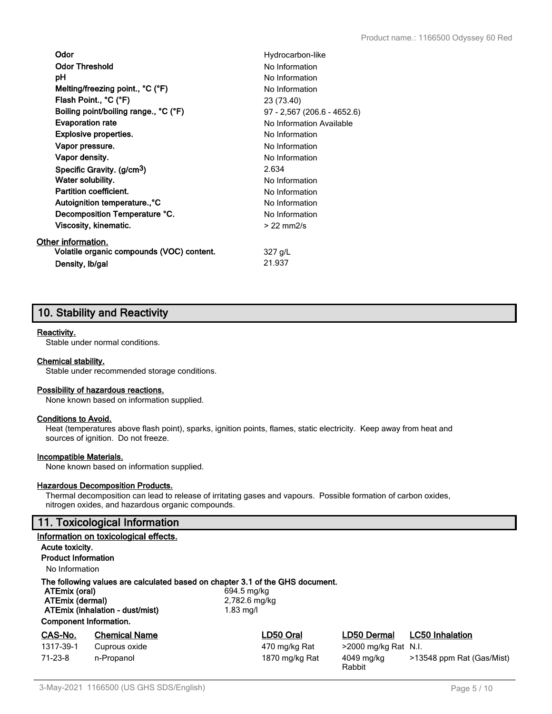| Odor                                      | Hydrocarbon-like            |
|-------------------------------------------|-----------------------------|
| <b>Odor Threshold</b>                     | No Information              |
| рH                                        | No Information              |
| Melting/freezing point., °C (°F)          | No Information              |
| Flash Point., °C (°F)                     | 23 (73.40)                  |
| Boiling point/boiling range., °C (°F)     | 97 - 2,567 (206.6 - 4652.6) |
| <b>Evaporation rate</b>                   | No Information Available    |
| <b>Explosive properties.</b>              | No Information              |
| Vapor pressure.                           | No Information              |
| Vapor density.                            | No Information              |
| Specific Gravity. (g/cm <sup>3</sup> )    | 2.634                       |
| Water solubility.                         | No Information              |
| <b>Partition coefficient.</b>             | No Information              |
| Autoignition temperature., °C             | No Information              |
| Decomposition Temperature °C.             | No Information              |
| Viscosity, kinematic.                     | $>22$ mm $2/s$              |
| Other information.                        |                             |
| Volatile organic compounds (VOC) content. | 327 g/L                     |
| Density, Ib/gal                           | 21.937                      |

## **10. Stability and Reactivity**

#### **Reactivity.**

Stable under normal conditions.

#### **Chemical stability.**

Stable under recommended storage conditions.

#### **Possibility of hazardous reactions.**

None known based on information supplied.

#### **Conditions to Avoid.**

Heat (temperatures above flash point), sparks, ignition points, flames, static electricity. Keep away from heat and sources of ignition. Do not freeze.

#### **Incompatible Materials.**

None known based on information supplied.

#### **Hazardous Decomposition Products.**

Thermal decomposition can lead to release of irritating gases and vapours. Possible formation of carbon oxides, nitrogen oxides, and hazardous organic compounds.

### **11. Toxicological Information**

|                                                                                                                                                                                                                                      | Information on toxicological effects. |                |                      |                           |
|--------------------------------------------------------------------------------------------------------------------------------------------------------------------------------------------------------------------------------------|---------------------------------------|----------------|----------------------|---------------------------|
| Acute toxicity.                                                                                                                                                                                                                      |                                       |                |                      |                           |
| <b>Product Information</b>                                                                                                                                                                                                           |                                       |                |                      |                           |
| No Information                                                                                                                                                                                                                       |                                       |                |                      |                           |
| The following values are calculated based on chapter 3.1 of the GHS document.<br>ATEmix (oral)<br>694.5 mg/kg<br>ATEmix (dermal)<br>2,782.6 mg/kg<br>ATEmix (inhalation - dust/mist)<br>$1.83$ mg/l<br><b>Component Information.</b> |                                       |                |                      |                           |
| CAS-No.                                                                                                                                                                                                                              | <b>Chemical Name</b>                  | LD50 Oral      | LD50 Dermal          | <b>LC50 Inhalation</b>    |
| 1317-39-1                                                                                                                                                                                                                            | Cuprous oxide                         | 470 mg/kg Rat  | >2000 mg/kg Rat N.I. |                           |
| $71 - 23 - 8$                                                                                                                                                                                                                        | n-Propanol                            | 1870 mg/kg Rat | 4049 mg/kg<br>Rabbit | >13548 ppm Rat (Gas/Mist) |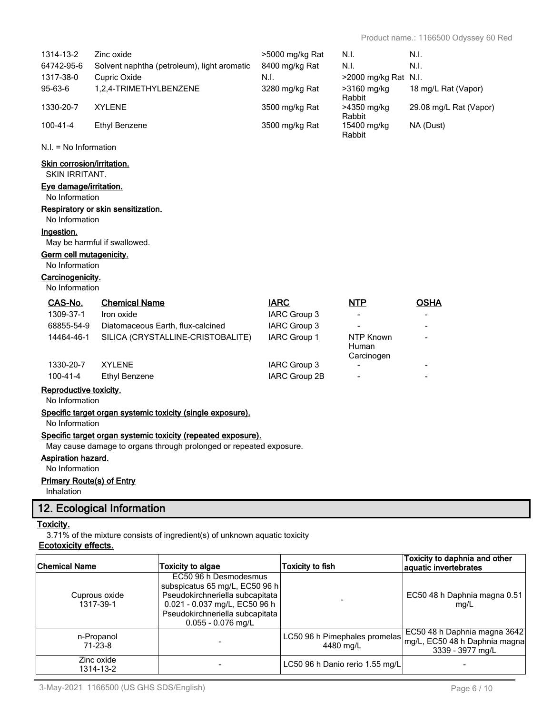| 1314-13-2                                                          | Zinc oxide                                                 | >5000 mg/kg Rat     | N.I.                                   | N.I.                   |
|--------------------------------------------------------------------|------------------------------------------------------------|---------------------|----------------------------------------|------------------------|
| 64742-95-6                                                         | Solvent naphtha (petroleum), light aromatic                | 8400 mg/kg Rat      | N.I.                                   | N.I.                   |
| 1317-38-0                                                          | Cupric Oxide                                               | N.I.                | >2000 mg/kg Rat N.I.                   |                        |
| 95-63-6                                                            | 1,2,4-TRIMETHYLBENZENE                                     | 3280 mg/kg Rat      | >3160 mg/kg<br>Rabbit                  | 18 mg/L Rat (Vapor)    |
| 1330-20-7                                                          | <b>XYLENE</b>                                              | 3500 mg/kg Rat      | >4350 mg/kg<br>Rabbit                  | 29.08 mg/L Rat (Vapor) |
| $100 - 41 - 4$                                                     | <b>Ethyl Benzene</b>                                       | 3500 mg/kg Rat      | 15400 mg/kg<br>Rabbit                  | NA (Dust)              |
| $N.I. = No Information$                                            |                                                            |                     |                                        |                        |
| <b>Skin corrosion/irritation.</b><br><b>SKIN IRRITANT.</b>         |                                                            |                     |                                        |                        |
| Eye damage/irritation.                                             |                                                            |                     |                                        |                        |
| No Information                                                     |                                                            |                     |                                        |                        |
| No Information                                                     | Respiratory or skin sensitization.                         |                     |                                        |                        |
| Ingestion.                                                         |                                                            |                     |                                        |                        |
|                                                                    | May be harmful if swallowed.                               |                     |                                        |                        |
| Germ cell mutagenicity.                                            |                                                            |                     |                                        |                        |
| No Information                                                     |                                                            |                     |                                        |                        |
| Carcinogenicity.                                                   |                                                            |                     |                                        |                        |
| No Information                                                     |                                                            |                     |                                        |                        |
| CAS-No.                                                            | <b>Chemical Name</b>                                       | <b>IARC</b>         | <b>NTP</b>                             | <b>OSHA</b>            |
| 1309-37-1                                                          | Iron oxide                                                 | IARC Group 3        | $\overline{\phantom{a}}$               |                        |
| 68855-54-9                                                         | Diatomaceous Earth, flux-calcined                          | <b>IARC Group 3</b> |                                        |                        |
| 14464-46-1                                                         | SILICA (CRYSTALLINE-CRISTOBALITE)                          | IARC Group 1        | NTP Known<br>Human                     |                        |
| 1330-20-7                                                          | <b>XYLENE</b>                                              | IARC Group 3        | Carcinogen<br>$\overline{\phantom{a}}$ |                        |
| $100 - 41 - 4$                                                     | <b>Ethyl Benzene</b>                                       | IARC Group 2B       |                                        |                        |
| Reproductive toxicity.                                             |                                                            |                     |                                        |                        |
| No Information                                                     |                                                            |                     |                                        |                        |
| No Information                                                     | Specific target organ systemic toxicity (single exposure). |                     |                                        |                        |
| Specific target organ systemic toxicity (repeated exposure).       |                                                            |                     |                                        |                        |
| May cause damage to organs through prolonged or repeated exposure. |                                                            |                     |                                        |                        |
| <b>Aspiration hazard.</b>                                          |                                                            |                     |                                        |                        |
| No Information                                                     |                                                            |                     |                                        |                        |

### **Primary Route(s) of Entry**

Inhalation

### **12. Ecological Information**

#### **Toxicity.**

3.71% of the mixture consists of ingredient(s) of unknown aquatic toxicity

### **Ecotoxicity effects.**

| <b>Chemical Name</b>       | Toxicity to algae                                                                                                                                                                      | <b>Toxicity to fish</b>                    | Toxicity to daphnia and other<br>aquatic invertebrates                             |
|----------------------------|----------------------------------------------------------------------------------------------------------------------------------------------------------------------------------------|--------------------------------------------|------------------------------------------------------------------------------------|
| Cuprous oxide<br>1317-39-1 | EC50 96 h Desmodesmus<br>subspicatus 65 mg/L, EC50 96 h<br>Pseudokirchneriella subcapitata<br>0.021 - 0.037 mg/L, EC50 96 h<br>Pseudokirchneriella subcapitata<br>$0.055 - 0.076$ mg/L |                                            | EC50 48 h Daphnia magna 0.51<br>mq/L                                               |
| n-Propanol<br>$71-23-8$    |                                                                                                                                                                                        | LC50 96 h Pimephales promelas<br>4480 mg/L | EC50 48 h Daphnia magna 3642 <br>mg/L, EC50 48 h Daphnia magna<br>3339 - 3977 mg/L |
| Zinc oxide<br>1314-13-2    |                                                                                                                                                                                        | LC50 96 h Danio rerio 1.55 mg/L            |                                                                                    |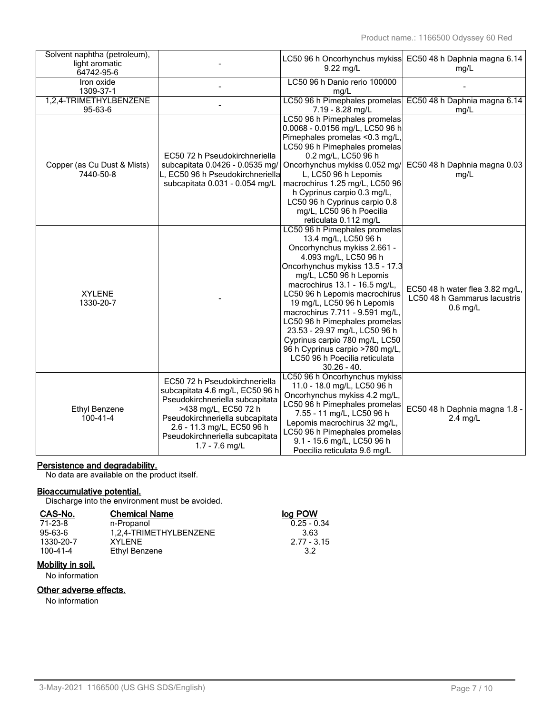| Solvent naphtha (petroleum),<br>light aromatic<br>64742-95-6 |                                                                                                                                                                                                                                                     | LC50 96 h Oncorhynchus mykiss<br>$9.22$ mg/L                                                                                                                                                                                                                                                                                                                                                                                                                                                                                     | EC50 48 h Daphnia magna 6.14<br>mg/L                                          |
|--------------------------------------------------------------|-----------------------------------------------------------------------------------------------------------------------------------------------------------------------------------------------------------------------------------------------------|----------------------------------------------------------------------------------------------------------------------------------------------------------------------------------------------------------------------------------------------------------------------------------------------------------------------------------------------------------------------------------------------------------------------------------------------------------------------------------------------------------------------------------|-------------------------------------------------------------------------------|
| Iron oxide                                                   |                                                                                                                                                                                                                                                     | LC50 96 h Danio rerio 100000                                                                                                                                                                                                                                                                                                                                                                                                                                                                                                     |                                                                               |
| 1309-37-1                                                    |                                                                                                                                                                                                                                                     | mg/L                                                                                                                                                                                                                                                                                                                                                                                                                                                                                                                             |                                                                               |
| 1,2,4-TRIMETHYLBENZENE<br>95-63-6                            |                                                                                                                                                                                                                                                     | LC50 96 h Pimephales promelas<br>7.19 - 8.28 mg/L                                                                                                                                                                                                                                                                                                                                                                                                                                                                                | EC50 48 h Daphnia magna 6.14<br>mg/L                                          |
| Copper (as Cu Dust & Mists)<br>7440-50-8                     | EC50 72 h Pseudokirchneriella<br>subcapitata 0.0426 - 0.0535 mg/<br>L, EC50 96 h Pseudokirchneriella<br>subcapitata 0.031 - 0.054 mg/L                                                                                                              | LC50 96 h Pimephales promelas<br>0.0068 - 0.0156 mg/L, LC50 96 h<br>Pimephales promelas <0.3 mg/L,<br>LC50 96 h Pimephales promelas<br>0.2 mg/L, LC50 96 h<br>Oncorhynchus mykiss 0.052 mg/<br>L, LC50 96 h Lepomis<br>macrochirus 1.25 mg/L, LC50 96<br>h Cyprinus carpio 0.3 mg/L,<br>LC50 96 h Cyprinus carpio 0.8<br>mg/L, LC50 96 h Poecilia                                                                                                                                                                                | EC50 48 h Daphnia magna 0.03<br>mg/L                                          |
| <b>XYLENE</b><br>1330-20-7                                   |                                                                                                                                                                                                                                                     | reticulata 0.112 mg/L<br>LC50 96 h Pimephales promelas<br>13.4 mg/L, LC50 96 h<br>Oncorhynchus mykiss 2.661 -<br>4.093 mg/L, LC50 96 h<br>Oncorhynchus mykiss 13.5 - 17.3<br>mg/L, LC50 96 h Lepomis<br>macrochirus 13.1 - 16.5 mg/L,<br>LC50 96 h Lepomis macrochirus<br>19 mg/L, LC50 96 h Lepomis<br>macrochirus 7.711 - 9.591 mg/L,<br>LC50 96 h Pimephales promelas<br>23.53 - 29.97 mg/L, LC50 96 h<br>Cyprinus carpio 780 mg/L, LC50<br>96 h Cyprinus carpio >780 mg/L,<br>LC50 96 h Poecilia reticulata<br>$30.26 - 40.$ | EC50 48 h water flea 3.82 mg/L,<br>LC50 48 h Gammarus lacustris<br>$0.6$ mg/L |
| <b>Ethyl Benzene</b><br>100-41-4                             | EC50 72 h Pseudokirchneriella<br>subcapitata 4.6 mg/L, EC50 96 h<br>Pseudokirchneriella subcapitata<br>>438 mg/L, EC50 72 h<br>Pseudokirchneriella subcapitata<br>2.6 - 11.3 mg/L, EC50 96 h<br>Pseudokirchneriella subcapitata<br>$1.7 - 7.6$ mg/L | LC50 96 h Oncorhynchus mykiss<br>11.0 - 18.0 mg/L, LC50 96 h<br>Oncorhynchus mykiss 4.2 mg/L,<br>LC50 96 h Pimephales promelas<br>7.55 - 11 mg/L, LC50 96 h<br>Lepomis macrochirus 32 mg/L,<br>LC50 96 h Pimephales promelas<br>9.1 - 15.6 mg/L, LC50 96 h<br>Poecilia reticulata 9.6 mg/L                                                                                                                                                                                                                                       | EC50 48 h Daphnia magna 1.8 -<br>$2.4$ mg/L                                   |

#### **Persistence and degradability.**

No data are available on the product itself.

#### **Bioaccumulative potential.**

Discharge into the environment must be avoided.

| <b>Chemical Name</b>   | log POW       |
|------------------------|---------------|
| n-Propanol             | $0.25 - 0.34$ |
| 1.2.4-TRIMETHYLBENZENE | 3.63          |
| XYI FNF                | $2.77 - 3.15$ |
| Ethyl Benzene          | 32            |
|                        |               |

## **Mobility in soil.**

No information

#### **Other adverse effects.**

No information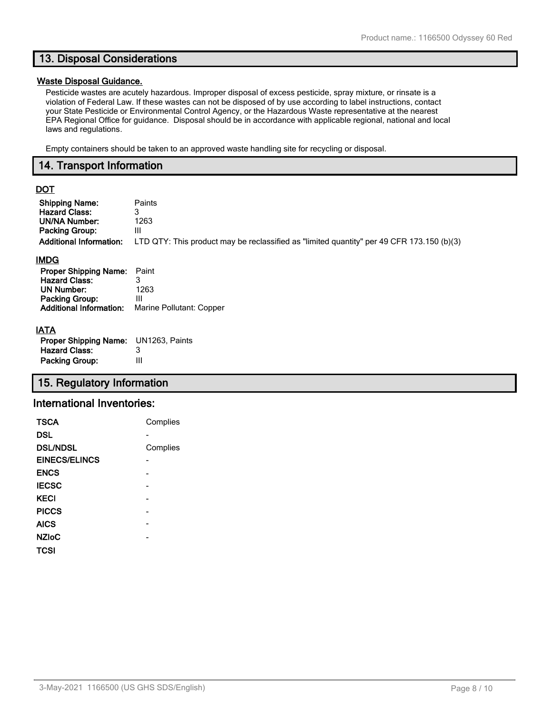### **13. Disposal Considerations**

#### **Waste Disposal Guidance.**

Pesticide wastes are acutely hazardous. Improper disposal of excess pesticide, spray mixture, or rinsate is a violation of Federal Law. If these wastes can not be disposed of by use according to label instructions, contact your State Pesticide or Environmental Control Agency, or the Hazardous Waste representative at the nearest EPA Regional Office for guidance. Disposal should be in accordance with applicable regional, national and local laws and regulations.

Empty containers should be taken to an approved waste handling site for recycling or disposal.

#### **14. Transport Information**

### **DOT**

| <b>Shipping Name:</b>          | Paints                                                                                    |
|--------------------------------|-------------------------------------------------------------------------------------------|
| <b>Hazard Class:</b>           | 3                                                                                         |
| <b>UN/NA Number:</b>           | 1263                                                                                      |
| <b>Packing Group:</b>          | Ш                                                                                         |
| <b>Additional Information:</b> | LTD QTY: This product may be reclassified as "limited quantity" per 49 CFR 173.150 (b)(3) |
| <b>IMDG</b>                    |                                                                                           |
| <b>Proper Shipping Name:</b>   | Paint                                                                                     |
| <b>Hazard Class:</b>           | 3                                                                                         |
| <b>UN Number:</b>              | 1263                                                                                      |
| Packing Group:                 | Ш                                                                                         |
| <b>Additional Information:</b> | Marine Pollutant: Copper                                                                  |
| IATA                           |                                                                                           |

| <b>Proper Shipping Name:</b> UN1263, Paints |   |
|---------------------------------------------|---|
| <b>Hazard Class:</b>                        | 3 |
| <b>Packing Group:</b>                       | Ш |

### **15. Regulatory Information**

#### **International Inventories:**

| <b>TSCA</b>          | Complies |
|----------------------|----------|
| DSL                  |          |
| <b>DSL/NDSL</b>      | Complies |
| <b>EINECS/ELINCS</b> |          |
| <b>ENCS</b>          |          |
| <b>IECSC</b>         |          |
| <b>KECI</b>          |          |
| <b>PICCS</b>         |          |
| <b>AICS</b>          |          |
| <b>NZIoC</b>         |          |
| TCSI                 |          |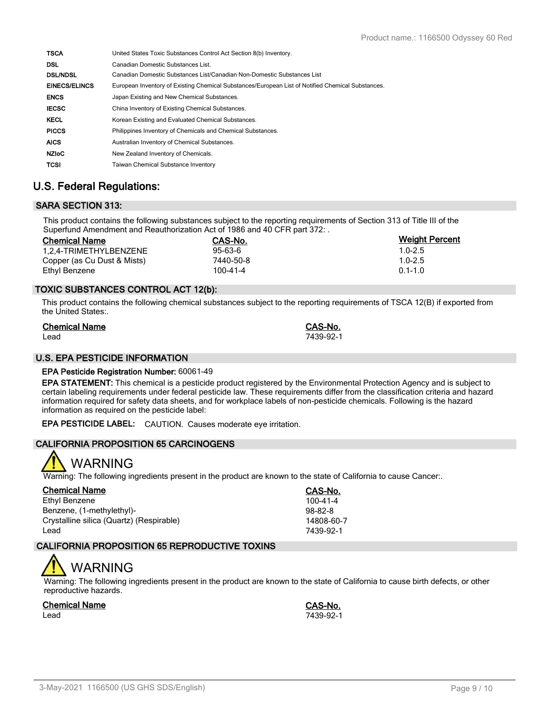| <b>TSCA</b>          | United States Toxic Substances Control Act Section 8(b) Inventory.                                |
|----------------------|---------------------------------------------------------------------------------------------------|
| <b>DSL</b>           | Canadian Domestic Substances List.                                                                |
| <b>DSL/NDSL</b>      | Canadian Domestic Substances List/Canadian Non-Domestic Substances List                           |
| <b>EINECS/ELINCS</b> | European Inventory of Existing Chemical Substances/European List of Notified Chemical Substances. |
| <b>ENCS</b>          | Japan Existing and New Chemical Substances.                                                       |
| <b>IECSC</b>         | China Inventory of Existing Chemical Substances.                                                  |
| <b>KECL</b>          | Korean Existing and Evaluated Chemical Substances.                                                |
| <b>PICCS</b>         | Philippines Inventory of Chemicals and Chemical Substances.                                       |
| <b>AICS</b>          | Australian Inventory of Chemical Substances.                                                      |
| <b>NZIOC</b>         | New Zealand Inventory of Chemicals.                                                               |
| <b>TCSI</b>          | <b>Taiwan Chemical Substance Inventory</b>                                                        |

### **U.S. Federal Regulations:**

### **SARA SECTION 313:**

This product contains the following substances subject to the reporting requirements of Section 313 of Title III of the Superfund Amendment and Reauthorization Act of 1986 and 40 CFR part 372: .

| <b>Chemical Name</b>        | CAS-No.        | <b>Weight Percent</b> |
|-----------------------------|----------------|-----------------------|
| 1.2.4-TRIMETHYLBENZENE      | $95 - 63 - 6$  | $1.0 - 2.5$           |
| Copper (as Cu Dust & Mists) | 7440-50-8      | $1.0 - 2.5$           |
| Ethyl Benzene               | $100 - 41 - 4$ | $0.1 - 1.0$           |

#### **TOXIC SUBSTANCES CONTROL ACT 12(b):**

This product contains the following chemical substances subject to the reporting requirements of TSCA 12(B) if exported from the United States:.

| <b>Chemical Name</b> | CAS-No.   |
|----------------------|-----------|
| Lead                 | 7439-92-1 |

#### **U.S. EPA PESTICIDE INFORMATION**

#### **EPA Pesticide Registration Number:** 60061-49

**EPA STATEMENT:** This chemical is a pesticide product registered by the Environmental Protection Agency and is subject to certain labeling requirements under federal pesticide law. These requirements differ from the classification criteria and hazard information required for safety data sheets, and for workplace labels of non-pesticide chemicals. Following is the hazard information as required on the pesticide label:

**EPA PESTICIDE LABEL:** CAUTION. Causes moderate eye irritation.

#### **CALIFORNIA PROPOSITION 65 CARCINOGENS**



Warning: The following ingredients present in the product are known to the state of California to cause Cancer:.

| <b>Chemical Name</b>                     | CAS-No.        |
|------------------------------------------|----------------|
| Ethyl Benzene                            | $100 - 41 - 4$ |
| Benzene, (1-methylethyl)-                | $98-82-8$      |
| Crystalline silica (Quartz) (Respirable) | 14808-60-7     |
| Lead                                     | 7439-92-1      |

#### **CALIFORNIA PROPOSITION 65 REPRODUCTIVE TOXINS**

# WARNING

Warning: The following ingredients present in the product are known to the state of California to cause birth defects, or other reproductive hazards.

**Chemical Name CAS-No.** Lead 7439-92-1